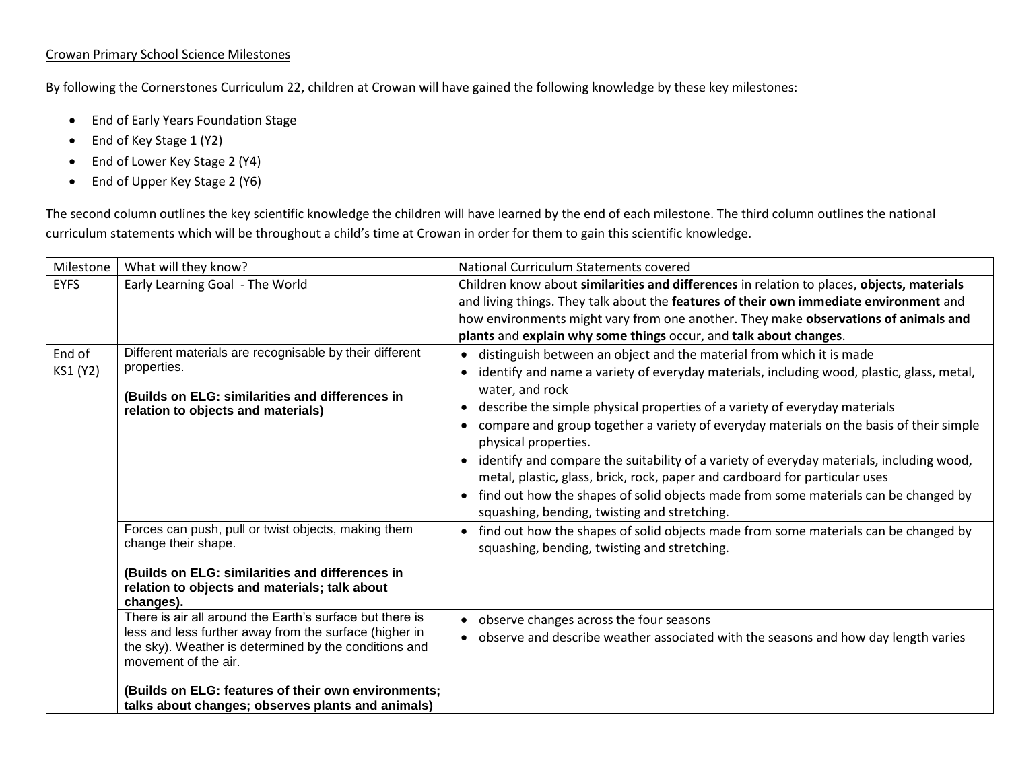## Crowan Primary School Science Milestones

By following the Cornerstones Curriculum 22, children at Crowan will have gained the following knowledge by these key milestones:

- End of Early Years Foundation Stage
- End of Key Stage 1 (Y2)
- End of Lower Key Stage 2 (Y4)
- End of Upper Key Stage 2 (Y6)

The second column outlines the key scientific knowledge the children will have learned by the end of each milestone. The third column outlines the national curriculum statements which will be throughout a child's time at Crowan in order for them to gain this scientific knowledge.

| <b>EYFS</b>        | Early Learning Goal - The World                                                                                                                                                                                                                                                                                                                                                                                                                                                                                | Children know about similarities and differences in relation to places, objects, materials                                                                                                                                                                                                                                                                                                                                                                                                                                                                                                                                                                                                                                 |
|--------------------|----------------------------------------------------------------------------------------------------------------------------------------------------------------------------------------------------------------------------------------------------------------------------------------------------------------------------------------------------------------------------------------------------------------------------------------------------------------------------------------------------------------|----------------------------------------------------------------------------------------------------------------------------------------------------------------------------------------------------------------------------------------------------------------------------------------------------------------------------------------------------------------------------------------------------------------------------------------------------------------------------------------------------------------------------------------------------------------------------------------------------------------------------------------------------------------------------------------------------------------------------|
|                    |                                                                                                                                                                                                                                                                                                                                                                                                                                                                                                                | and living things. They talk about the features of their own immediate environment and<br>how environments might vary from one another. They make observations of animals and<br>plants and explain why some things occur, and talk about changes.                                                                                                                                                                                                                                                                                                                                                                                                                                                                         |
| End of<br>KS1 (Y2) | Different materials are recognisable by their different<br>properties.<br>(Builds on ELG: similarities and differences in<br>relation to objects and materials)                                                                                                                                                                                                                                                                                                                                                | • distinguish between an object and the material from which it is made<br>• identify and name a variety of everyday materials, including wood, plastic, glass, metal,<br>water, and rock<br>describe the simple physical properties of a variety of everyday materials<br>$\bullet$<br>compare and group together a variety of everyday materials on the basis of their simple<br>physical properties.<br>identify and compare the suitability of a variety of everyday materials, including wood,<br>metal, plastic, glass, brick, rock, paper and cardboard for particular uses<br>• find out how the shapes of solid objects made from some materials can be changed by<br>squashing, bending, twisting and stretching. |
|                    | Forces can push, pull or twist objects, making them<br>change their shape.<br>(Builds on ELG: similarities and differences in<br>relation to objects and materials; talk about<br>changes).<br>There is air all around the Earth's surface but there is<br>less and less further away from the surface (higher in<br>the sky). Weather is determined by the conditions and<br>movement of the air.<br>(Builds on ELG: features of their own environments;<br>talks about changes; observes plants and animals) | • find out how the shapes of solid objects made from some materials can be changed by<br>squashing, bending, twisting and stretching.<br>• observe changes across the four seasons<br>• observe and describe weather associated with the seasons and how day length varies                                                                                                                                                                                                                                                                                                                                                                                                                                                 |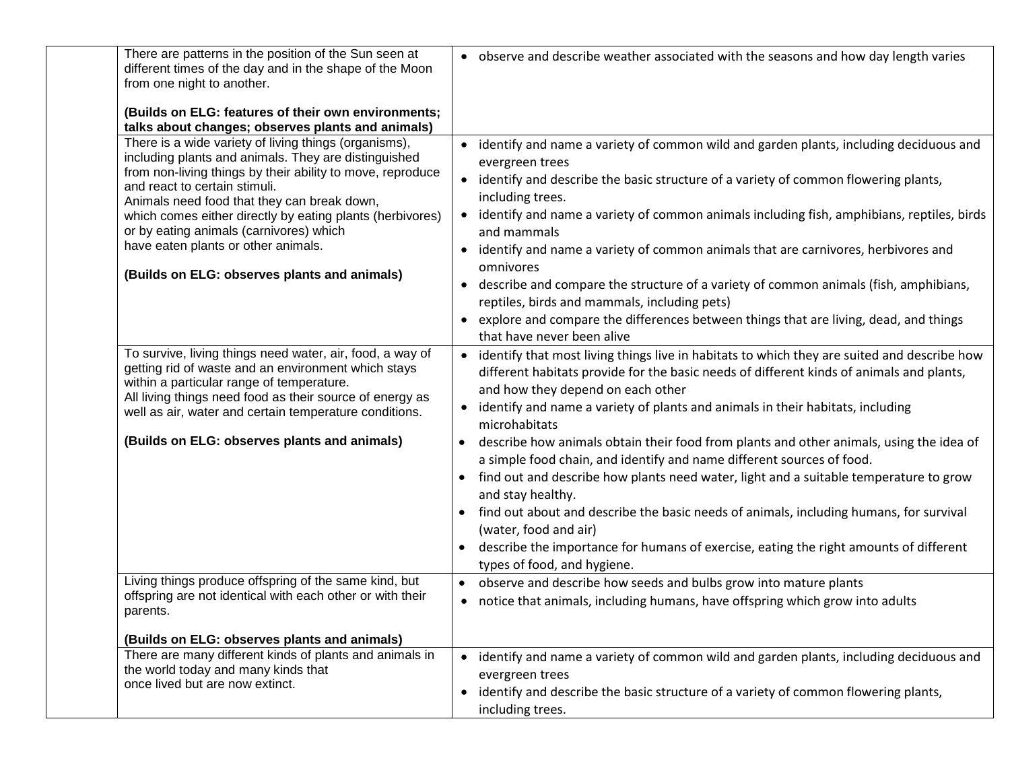| There are patterns in the position of the Sun seen at<br>different times of the day and in the shape of the Moon<br>from one night to another.                                                                                                                                                                                                                                                                                                             | • observe and describe weather associated with the seasons and how day length varies                                                                                                                                                                                                                                                                                                                                                                                                                                                                                                                                                                                                                 |
|------------------------------------------------------------------------------------------------------------------------------------------------------------------------------------------------------------------------------------------------------------------------------------------------------------------------------------------------------------------------------------------------------------------------------------------------------------|------------------------------------------------------------------------------------------------------------------------------------------------------------------------------------------------------------------------------------------------------------------------------------------------------------------------------------------------------------------------------------------------------------------------------------------------------------------------------------------------------------------------------------------------------------------------------------------------------------------------------------------------------------------------------------------------------|
| (Builds on ELG: features of their own environments;<br>talks about changes; observes plants and animals)                                                                                                                                                                                                                                                                                                                                                   |                                                                                                                                                                                                                                                                                                                                                                                                                                                                                                                                                                                                                                                                                                      |
| There is a wide variety of living things (organisms),<br>including plants and animals. They are distinguished<br>from non-living things by their ability to move, reproduce<br>and react to certain stimuli.<br>Animals need food that they can break down,<br>which comes either directly by eating plants (herbivores)<br>or by eating animals (carnivores) which<br>have eaten plants or other animals.<br>(Builds on ELG: observes plants and animals) | • identify and name a variety of common wild and garden plants, including deciduous and<br>evergreen trees<br>• identify and describe the basic structure of a variety of common flowering plants,<br>including trees.<br>• identify and name a variety of common animals including fish, amphibians, reptiles, birds<br>and mammals<br>identify and name a variety of common animals that are carnivores, herbivores and<br>omnivores<br>describe and compare the structure of a variety of common animals (fish, amphibians,<br>reptiles, birds and mammals, including pets)<br>explore and compare the differences between things that are living, dead, and things<br>that have never been alive |
| To survive, living things need water, air, food, a way of<br>getting rid of waste and an environment which stays<br>within a particular range of temperature.<br>All living things need food as their source of energy as<br>well as air, water and certain temperature conditions.<br>(Builds on ELG: observes plants and animals)                                                                                                                        | identify that most living things live in habitats to which they are suited and describe how<br>different habitats provide for the basic needs of different kinds of animals and plants,<br>and how they depend on each other<br>identify and name a variety of plants and animals in their habitats, including<br>microhabitats<br>describe how animals obtain their food from plants and other animals, using the idea of<br>a simple food chain, and identify and name different sources of food.                                                                                                                                                                                                  |
|                                                                                                                                                                                                                                                                                                                                                                                                                                                            | find out and describe how plants need water, light and a suitable temperature to grow<br>and stay healthy.<br>find out about and describe the basic needs of animals, including humans, for survival<br>(water, food and air)<br>describe the importance for humans of exercise, eating the right amounts of different<br>$\bullet$<br>types of food, and hygiene.                                                                                                                                                                                                                                                                                                                                   |
| Living things produce offspring of the same kind, but<br>offspring are not identical with each other or with their<br>parents.                                                                                                                                                                                                                                                                                                                             | observe and describe how seeds and bulbs grow into mature plants<br>• notice that animals, including humans, have offspring which grow into adults                                                                                                                                                                                                                                                                                                                                                                                                                                                                                                                                                   |
| (Builds on ELG: observes plants and animals)<br>There are many different kinds of plants and animals in<br>the world today and many kinds that<br>once lived but are now extinct.                                                                                                                                                                                                                                                                          | • identify and name a variety of common wild and garden plants, including deciduous and<br>evergreen trees<br>identify and describe the basic structure of a variety of common flowering plants,<br>$\bullet$<br>including trees.                                                                                                                                                                                                                                                                                                                                                                                                                                                                    |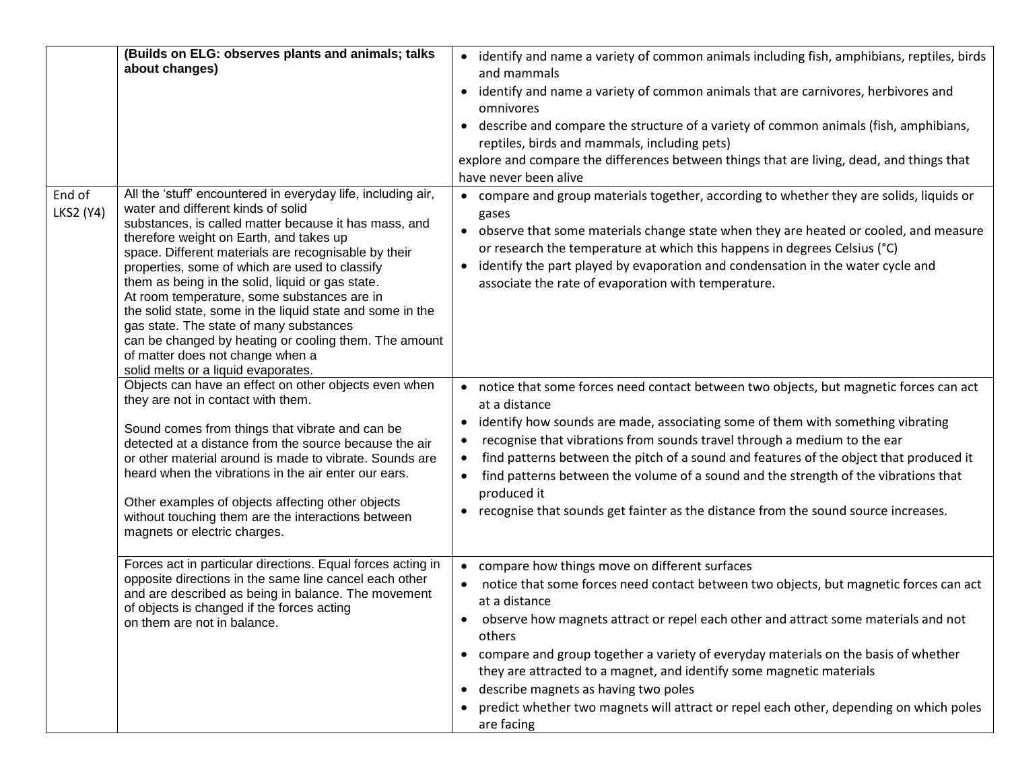|                            | (Builds on ELG: observes plants and animals; talks<br>about changes)                                                                                                                                                                                                                                                                                                                                                                                                                                                                                                                                                                                            | • identify and name a variety of common animals including fish, amphibians, reptiles, birds<br>and mammals<br>• identify and name a variety of common animals that are carnivores, herbivores and<br>omnivores<br>• describe and compare the structure of a variety of common animals (fish, amphibians,<br>reptiles, birds and mammals, including pets)<br>explore and compare the differences between things that are living, dead, and things that<br>have never been alive                                                                                                              |
|----------------------------|-----------------------------------------------------------------------------------------------------------------------------------------------------------------------------------------------------------------------------------------------------------------------------------------------------------------------------------------------------------------------------------------------------------------------------------------------------------------------------------------------------------------------------------------------------------------------------------------------------------------------------------------------------------------|---------------------------------------------------------------------------------------------------------------------------------------------------------------------------------------------------------------------------------------------------------------------------------------------------------------------------------------------------------------------------------------------------------------------------------------------------------------------------------------------------------------------------------------------------------------------------------------------|
| End of<br><b>LKS2 (Y4)</b> | All the 'stuff' encountered in everyday life, including air,<br>water and different kinds of solid<br>substances, is called matter because it has mass, and<br>therefore weight on Earth, and takes up<br>space. Different materials are recognisable by their<br>properties, some of which are used to classify<br>them as being in the solid, liquid or gas state.<br>At room temperature, some substances are in<br>the solid state, some in the liquid state and some in the<br>gas state. The state of many substances<br>can be changed by heating or cooling them. The amount<br>of matter does not change when a<br>solid melts or a liquid evaporates. | • compare and group materials together, according to whether they are solids, liquids or<br>gases<br>• observe that some materials change state when they are heated or cooled, and measure<br>or research the temperature at which this happens in degrees Celsius (°C)<br>identify the part played by evaporation and condensation in the water cycle and<br>associate the rate of evaporation with temperature.                                                                                                                                                                          |
|                            | Objects can have an effect on other objects even when<br>they are not in contact with them.<br>Sound comes from things that vibrate and can be<br>detected at a distance from the source because the air<br>or other material around is made to vibrate. Sounds are<br>heard when the vibrations in the air enter our ears.<br>Other examples of objects affecting other objects<br>without touching them are the interactions between<br>magnets or electric charges.                                                                                                                                                                                          | • notice that some forces need contact between two objects, but magnetic forces can act<br>at a distance<br>• identify how sounds are made, associating some of them with something vibrating<br>recognise that vibrations from sounds travel through a medium to the ear<br>find patterns between the pitch of a sound and features of the object that produced it<br>$\bullet$<br>find patterns between the volume of a sound and the strength of the vibrations that<br>$\bullet$<br>produced it<br>• recognise that sounds get fainter as the distance from the sound source increases. |
|                            | Forces act in particular directions. Equal forces acting in<br>opposite directions in the same line cancel each other<br>and are described as being in balance. The movement<br>of objects is changed if the forces acting<br>on them are not in balance.                                                                                                                                                                                                                                                                                                                                                                                                       | • compare how things move on different surfaces<br>notice that some forces need contact between two objects, but magnetic forces can act<br>at a distance<br>observe how magnets attract or repel each other and attract some materials and not<br>others<br>• compare and group together a variety of everyday materials on the basis of whether<br>they are attracted to a magnet, and identify some magnetic materials<br>• describe magnets as having two poles<br>predict whether two magnets will attract or repel each other, depending on which poles<br>are facing                 |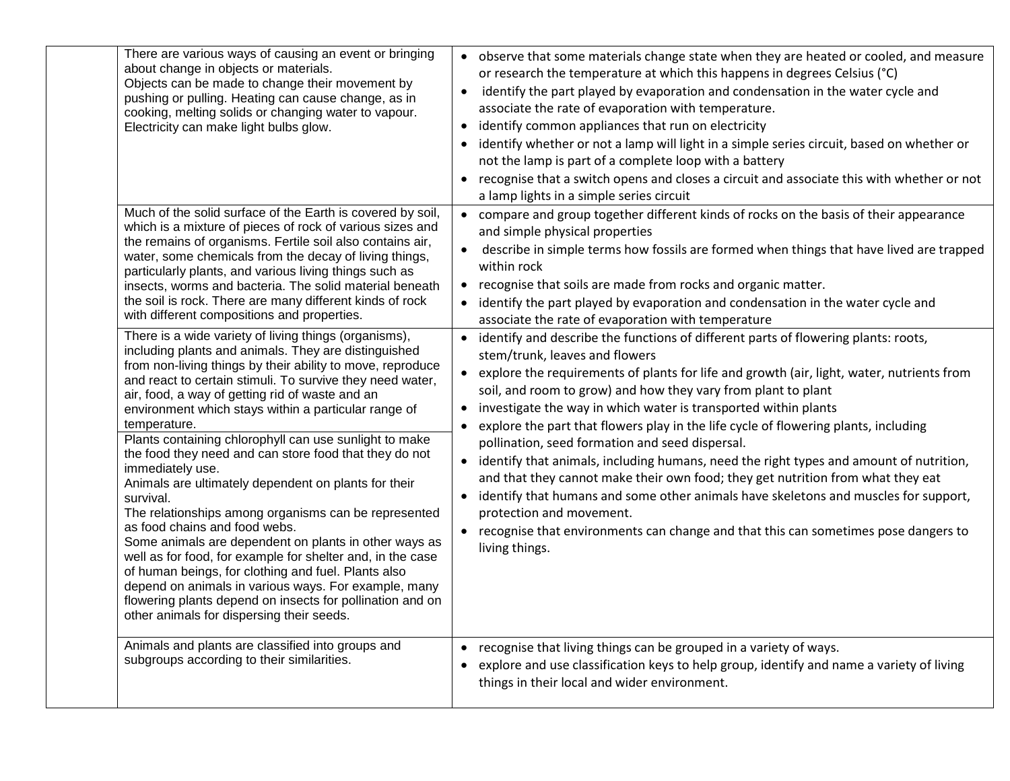| There are various ways of causing an event or bringing<br>about change in objects or materials.<br>Objects can be made to change their movement by<br>pushing or pulling. Heating can cause change, as in<br>cooking, melting solids or changing water to vapour.<br>Electricity can make light bulbs glow.                                                                                                                                                                                                                                                                                                                                                                                                                                                                                                                                                                                                                                                                                                               | • observe that some materials change state when they are heated or cooled, and measure<br>or research the temperature at which this happens in degrees Celsius (°C)<br>identify the part played by evaporation and condensation in the water cycle and<br>$\bullet$<br>associate the rate of evaporation with temperature.<br>identify common appliances that run on electricity<br>identify whether or not a lamp will light in a simple series circuit, based on whether or<br>not the lamp is part of a complete loop with a battery<br>• recognise that a switch opens and closes a circuit and associate this with whether or not<br>a lamp lights in a simple series circuit                                                                                                                                                                                                                                                        |
|---------------------------------------------------------------------------------------------------------------------------------------------------------------------------------------------------------------------------------------------------------------------------------------------------------------------------------------------------------------------------------------------------------------------------------------------------------------------------------------------------------------------------------------------------------------------------------------------------------------------------------------------------------------------------------------------------------------------------------------------------------------------------------------------------------------------------------------------------------------------------------------------------------------------------------------------------------------------------------------------------------------------------|-------------------------------------------------------------------------------------------------------------------------------------------------------------------------------------------------------------------------------------------------------------------------------------------------------------------------------------------------------------------------------------------------------------------------------------------------------------------------------------------------------------------------------------------------------------------------------------------------------------------------------------------------------------------------------------------------------------------------------------------------------------------------------------------------------------------------------------------------------------------------------------------------------------------------------------------|
| Much of the solid surface of the Earth is covered by soil,<br>which is a mixture of pieces of rock of various sizes and<br>the remains of organisms. Fertile soil also contains air,<br>water, some chemicals from the decay of living things,<br>particularly plants, and various living things such as<br>insects, worms and bacteria. The solid material beneath<br>the soil is rock. There are many different kinds of rock<br>with different compositions and properties.                                                                                                                                                                                                                                                                                                                                                                                                                                                                                                                                            | • compare and group together different kinds of rocks on the basis of their appearance<br>and simple physical properties<br>describe in simple terms how fossils are formed when things that have lived are trapped<br>$\bullet$<br>within rock<br>• recognise that soils are made from rocks and organic matter.<br>• identify the part played by evaporation and condensation in the water cycle and<br>associate the rate of evaporation with temperature                                                                                                                                                                                                                                                                                                                                                                                                                                                                              |
| There is a wide variety of living things (organisms),<br>including plants and animals. They are distinguished<br>from non-living things by their ability to move, reproduce<br>and react to certain stimuli. To survive they need water,<br>air, food, a way of getting rid of waste and an<br>environment which stays within a particular range of<br>temperature.<br>Plants containing chlorophyll can use sunlight to make<br>the food they need and can store food that they do not<br>immediately use.<br>Animals are ultimately dependent on plants for their<br>survival.<br>The relationships among organisms can be represented<br>as food chains and food webs.<br>Some animals are dependent on plants in other ways as<br>well as for food, for example for shelter and, in the case<br>of human beings, for clothing and fuel. Plants also<br>depend on animals in various ways. For example, many<br>flowering plants depend on insects for pollination and on<br>other animals for dispersing their seeds. | • identify and describe the functions of different parts of flowering plants: roots,<br>stem/trunk, leaves and flowers<br>• explore the requirements of plants for life and growth (air, light, water, nutrients from<br>soil, and room to grow) and how they vary from plant to plant<br>investigate the way in which water is transported within plants<br>$\bullet$<br>explore the part that flowers play in the life cycle of flowering plants, including<br>pollination, seed formation and seed dispersal.<br>• identify that animals, including humans, need the right types and amount of nutrition,<br>and that they cannot make their own food; they get nutrition from what they eat<br>identify that humans and some other animals have skeletons and muscles for support,<br>$\bullet$<br>protection and movement.<br>• recognise that environments can change and that this can sometimes pose dangers to<br>living things. |
| Animals and plants are classified into groups and<br>subgroups according to their similarities.                                                                                                                                                                                                                                                                                                                                                                                                                                                                                                                                                                                                                                                                                                                                                                                                                                                                                                                           | • recognise that living things can be grouped in a variety of ways.<br>explore and use classification keys to help group, identify and name a variety of living<br>$\bullet$<br>things in their local and wider environment.                                                                                                                                                                                                                                                                                                                                                                                                                                                                                                                                                                                                                                                                                                              |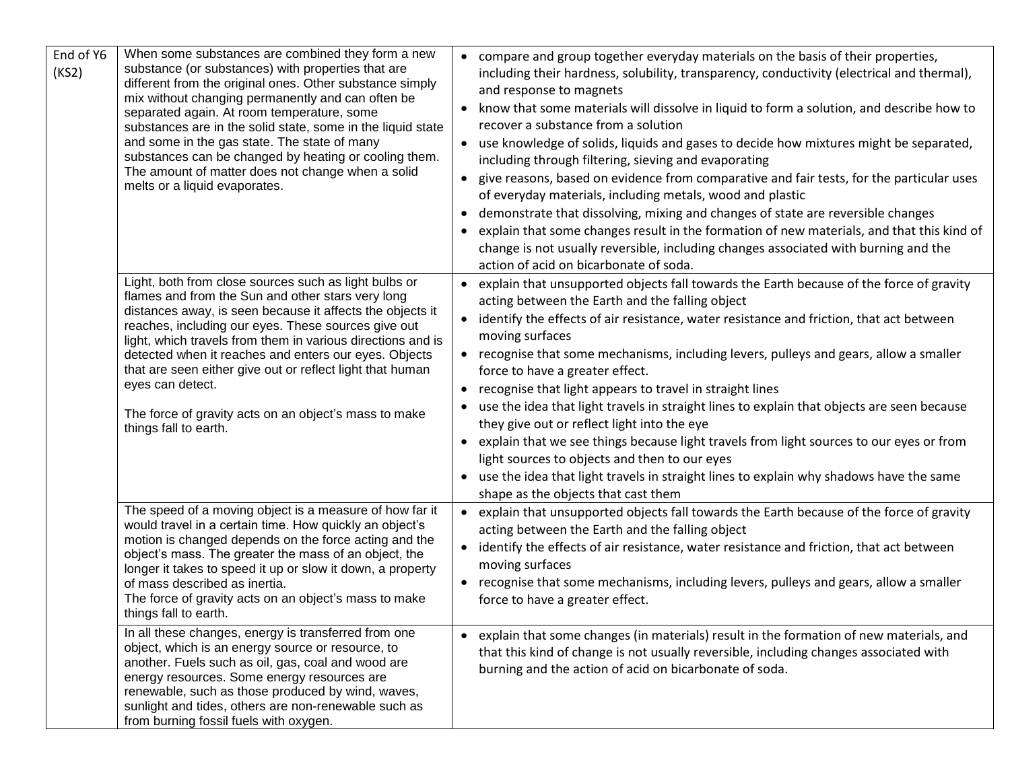| End of Y6<br>(KS2) | When some substances are combined they form a new<br>substance (or substances) with properties that are<br>different from the original ones. Other substance simply<br>mix without changing permanently and can often be<br>separated again. At room temperature, some<br>substances are in the solid state, some in the liquid state<br>and some in the gas state. The state of many<br>substances can be changed by heating or cooling them.<br>The amount of matter does not change when a solid<br>melts or a liquid evaporates. | • compare and group together everyday materials on the basis of their properties,<br>including their hardness, solubility, transparency, conductivity (electrical and thermal),<br>and response to magnets<br>• know that some materials will dissolve in liquid to form a solution, and describe how to<br>recover a substance from a solution<br>• use knowledge of solids, liquids and gases to decide how mixtures might be separated,<br>including through filtering, sieving and evaporating<br>• give reasons, based on evidence from comparative and fair tests, for the particular uses<br>of everyday materials, including metals, wood and plastic<br>demonstrate that dissolving, mixing and changes of state are reversible changes<br>explain that some changes result in the formation of new materials, and that this kind of<br>change is not usually reversible, including changes associated with burning and the<br>action of acid on bicarbonate of soda. |
|--------------------|--------------------------------------------------------------------------------------------------------------------------------------------------------------------------------------------------------------------------------------------------------------------------------------------------------------------------------------------------------------------------------------------------------------------------------------------------------------------------------------------------------------------------------------|--------------------------------------------------------------------------------------------------------------------------------------------------------------------------------------------------------------------------------------------------------------------------------------------------------------------------------------------------------------------------------------------------------------------------------------------------------------------------------------------------------------------------------------------------------------------------------------------------------------------------------------------------------------------------------------------------------------------------------------------------------------------------------------------------------------------------------------------------------------------------------------------------------------------------------------------------------------------------------|
|                    | Light, both from close sources such as light bulbs or<br>flames and from the Sun and other stars very long<br>distances away, is seen because it affects the objects it<br>reaches, including our eyes. These sources give out<br>light, which travels from them in various directions and is<br>detected when it reaches and enters our eyes. Objects<br>that are seen either give out or reflect light that human<br>eyes can detect.<br>The force of gravity acts on an object's mass to make<br>things fall to earth.            | • explain that unsupported objects fall towards the Earth because of the force of gravity<br>acting between the Earth and the falling object<br>• identify the effects of air resistance, water resistance and friction, that act between<br>moving surfaces<br>• recognise that some mechanisms, including levers, pulleys and gears, allow a smaller<br>force to have a greater effect.<br>• recognise that light appears to travel in straight lines<br>use the idea that light travels in straight lines to explain that objects are seen because<br>they give out or reflect light into the eye<br>• explain that we see things because light travels from light sources to our eyes or from<br>light sources to objects and then to our eyes<br>use the idea that light travels in straight lines to explain why shadows have the same<br>shape as the objects that cast them                                                                                            |
|                    | The speed of a moving object is a measure of how far it<br>would travel in a certain time. How quickly an object's<br>motion is changed depends on the force acting and the<br>object's mass. The greater the mass of an object, the<br>longer it takes to speed it up or slow it down, a property<br>of mass described as inertia.<br>The force of gravity acts on an object's mass to make<br>things fall to earth.                                                                                                                | • explain that unsupported objects fall towards the Earth because of the force of gravity<br>acting between the Earth and the falling object<br>• identify the effects of air resistance, water resistance and friction, that act between<br>moving surfaces<br>• recognise that some mechanisms, including levers, pulleys and gears, allow a smaller<br>force to have a greater effect.                                                                                                                                                                                                                                                                                                                                                                                                                                                                                                                                                                                      |
|                    | In all these changes, energy is transferred from one<br>object, which is an energy source or resource, to<br>another. Fuels such as oil, gas, coal and wood are<br>energy resources. Some energy resources are<br>renewable, such as those produced by wind, waves,<br>sunlight and tides, others are non-renewable such as<br>from burning fossil fuels with oxygen.                                                                                                                                                                | • explain that some changes (in materials) result in the formation of new materials, and<br>that this kind of change is not usually reversible, including changes associated with<br>burning and the action of acid on bicarbonate of soda.                                                                                                                                                                                                                                                                                                                                                                                                                                                                                                                                                                                                                                                                                                                                    |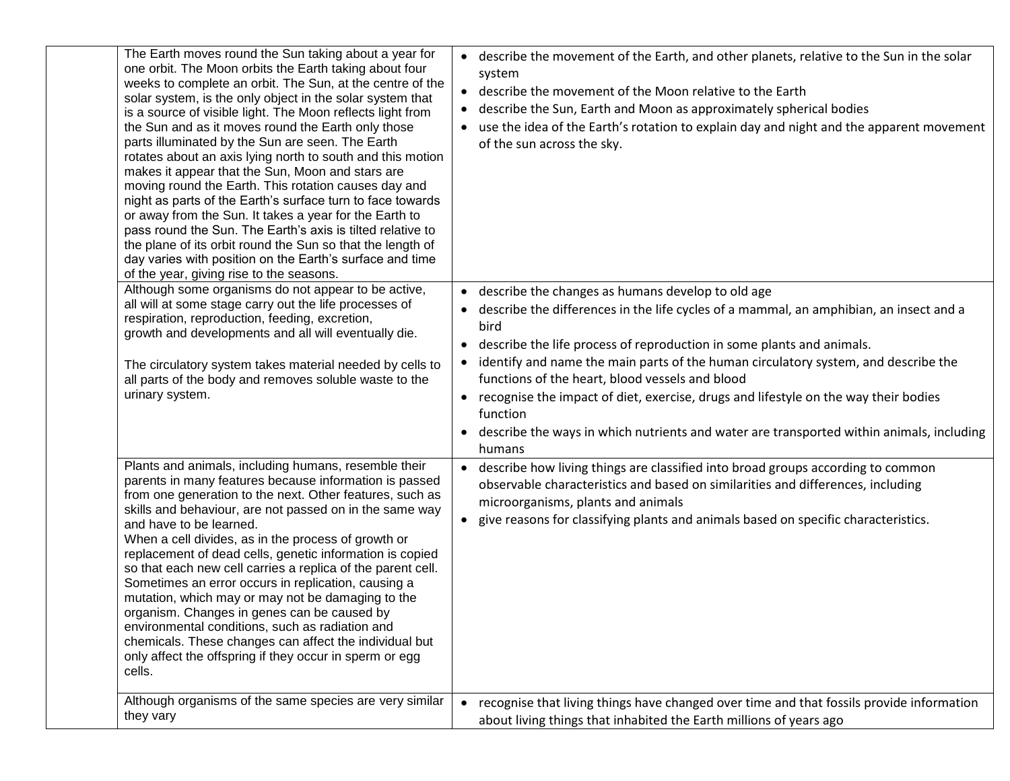| The Earth moves round the Sun taking about a year for<br>one orbit. The Moon orbits the Earth taking about four<br>weeks to complete an orbit. The Sun, at the centre of the<br>solar system, is the only object in the solar system that<br>is a source of visible light. The Moon reflects light from<br>the Sun and as it moves round the Earth only those<br>parts illuminated by the Sun are seen. The Earth<br>rotates about an axis lying north to south and this motion<br>makes it appear that the Sun, Moon and stars are<br>moving round the Earth. This rotation causes day and<br>night as parts of the Earth's surface turn to face towards<br>or away from the Sun. It takes a year for the Earth to<br>pass round the Sun. The Earth's axis is tilted relative to<br>the plane of its orbit round the Sun so that the length of<br>day varies with position on the Earth's surface and time<br>of the year, giving rise to the seasons.<br>Although some organisms do not appear to be active, | • describe the movement of the Earth, and other planets, relative to the Sun in the solar<br>system<br>describe the movement of the Moon relative to the Earth<br>describe the Sun, Earth and Moon as approximately spherical bodies<br>use the idea of the Earth's rotation to explain day and night and the apparent movement<br>of the sun across the sky.                                                                                                                                                                                                                                 |
|----------------------------------------------------------------------------------------------------------------------------------------------------------------------------------------------------------------------------------------------------------------------------------------------------------------------------------------------------------------------------------------------------------------------------------------------------------------------------------------------------------------------------------------------------------------------------------------------------------------------------------------------------------------------------------------------------------------------------------------------------------------------------------------------------------------------------------------------------------------------------------------------------------------------------------------------------------------------------------------------------------------|-----------------------------------------------------------------------------------------------------------------------------------------------------------------------------------------------------------------------------------------------------------------------------------------------------------------------------------------------------------------------------------------------------------------------------------------------------------------------------------------------------------------------------------------------------------------------------------------------|
| all will at some stage carry out the life processes of<br>respiration, reproduction, feeding, excretion,<br>growth and developments and all will eventually die.<br>The circulatory system takes material needed by cells to<br>all parts of the body and removes soluble waste to the<br>urinary system.                                                                                                                                                                                                                                                                                                                                                                                                                                                                                                                                                                                                                                                                                                      | • describe the changes as humans develop to old age<br>describe the differences in the life cycles of a mammal, an amphibian, an insect and a<br>bird<br>describe the life process of reproduction in some plants and animals.<br>identify and name the main parts of the human circulatory system, and describe the<br>functions of the heart, blood vessels and blood<br>recognise the impact of diet, exercise, drugs and lifestyle on the way their bodies<br>function<br>describe the ways in which nutrients and water are transported within animals, including<br>$\bullet$<br>humans |
| Plants and animals, including humans, resemble their<br>parents in many features because information is passed<br>from one generation to the next. Other features, such as<br>skills and behaviour, are not passed on in the same way<br>and have to be learned.<br>When a cell divides, as in the process of growth or<br>replacement of dead cells, genetic information is copied<br>so that each new cell carries a replica of the parent cell.<br>Sometimes an error occurs in replication, causing a<br>mutation, which may or may not be damaging to the<br>organism. Changes in genes can be caused by<br>environmental conditions, such as radiation and<br>chemicals. These changes can affect the individual but<br>only affect the offspring if they occur in sperm or egg<br>cells.                                                                                                                                                                                                                | • describe how living things are classified into broad groups according to common<br>observable characteristics and based on similarities and differences, including<br>microorganisms, plants and animals<br>give reasons for classifying plants and animals based on specific characteristics.                                                                                                                                                                                                                                                                                              |
| Although organisms of the same species are very similar<br>they vary                                                                                                                                                                                                                                                                                                                                                                                                                                                                                                                                                                                                                                                                                                                                                                                                                                                                                                                                           | recognise that living things have changed over time and that fossils provide information<br>about living things that inhabited the Earth millions of years ago                                                                                                                                                                                                                                                                                                                                                                                                                                |